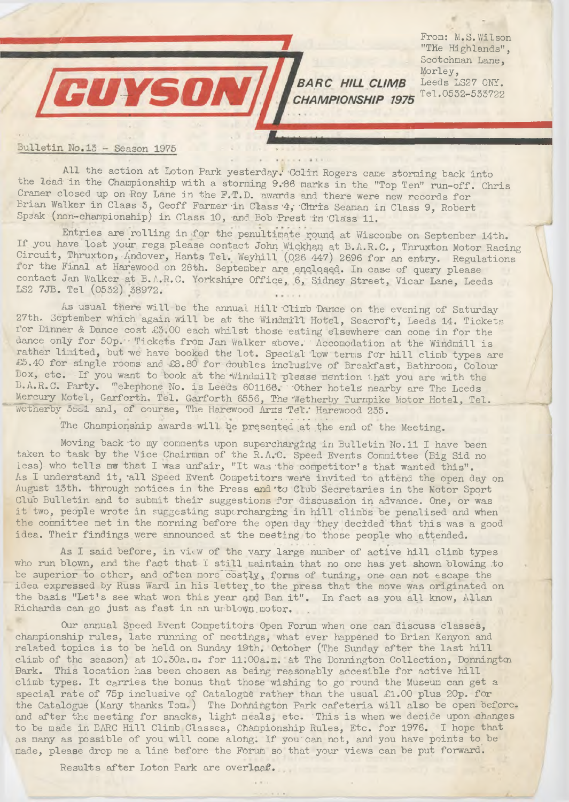From: M.S. Wilson "The Highlands", Scotchman Lane, Morley, Leeds LS27 ONY. Tel.0552-533722

## Bulletin No.13 - Season 1975

CUYSON

All the action at Loton Park yesterday.' Colin Rogers cane storming back into the lead in the Championship with a storming 9.-86 marks in the "Top Ten" run-off. Chris Cramer closed up on Roy Lane in the F.T.D. awards and there were new records for Brian Walker in Class 3, Geoff Farmer in Class 4, Chris Seaman in Class 9, Robert Speak (non-championship) in Class 10, and Bob Prest in Class 11.

**BARC HILL CLIMB** CHAMPIONSHIP 1975

Entries are rolling in for the penultimate round at Wiscombe on September 14th. If you have lost your regs please contact John Wickham at B.A.R.C., Thruxton Motor Racing Circuit, Thruxton, Andover, Hants Tel. Weyhill (026 447) 2696 for an entry. Regulations i or the Final at Harewood on 28th. September are enclosed,. In case of query please contact Jan Walker at B.A.R.C. Yorkshire Office, 6, Sidney Street, Vicar Lane, Leeds LS2 7JB. Tel (0552) 38972.

As usual there will be the annual Hill 'Climb 'Dance on the evening of Saturday 27th. September which again will be at the Windmill Hotel, Seacroft, Leeds 14. Tickets ior Dinner *&* Dance cost £3.00 each whilst those eating elsewhere can come in for the dance only for 50p. Tickets from Jan Walker above. Accomodation at the Windmill is rather limited, but we have booked the lot. Special low terms for hill climb types are £5.40 for single rooms and £8.80 for doubles inclusive of Breakfast, Bathroom, Colour Box, etc. If you want to book at the Windmill please mention that you are with the B.A.R.C. Party. Telephone No. is Leeds 601166. Other hotels nearby are The Leeds Mercury Motel, Garforth, Tel. Garforth 6556, The 'Wetherby Turnpike Motor Hotel, Tel. Wetherby 3oo1 and, of course, The Harewood Arms Tel. Harewood 235.

The Championship awards will be presented at the end of the Meeting.

Moving back-to my comments upon supercharging in Bulletin No.11 I have been taken to task by the Vice Chairman of the R.A.'C. Speed Events Committee (Big Sid no less) who tells mw that I 'was unfair, "It was'the competitor's that wanted this". As I understand it, 'all Speed Event Competitors were invited to attend the open day on August 13th. through notices in the Press and to Club Secretaries in the Motor Sport Club Bulletin and to submit their suggestions for discussion in advance. One, or was it two, people wrote in suggesting supercharging in hill climbs be penalised and when the committee met in the morning before the open day they decided that this was a good idea. Their findings were announced at the meeting to those people who attended.

As I said before, in view of the vary large number of active hill climb types who run blown, and the fact that I still maintain that no one has yet shown blowing .to be superior to other, and often more costly, forms of tuning, one can not escape the idea expressed by Russ Ward in his letter to the press that the move was originated on the basis "Let's see what won this year end Ban it". In fact as you all know, Allan Richards can go just as fast in an urblown motor,

Our annual Speed Event Competitors Open Forum when one can discuss classes, championship rules, late running of meetings, what ever happened to Brian Kenyon and related topics is to be held on Sunday 19th. October (The Sunday after the last hill climb of the season) at 10.30a.m. for 11;00a.m. at The Donnington Collection, Donnington Bark. This location has been chosen as being reasonably accesible for active hill climb types. It carries the bonus that those wishing to go round the Museum can get a special rate of 75p inclusive of Catalogue rather than the usual £1.00 plus 20p. for the Catalogue (Many thanks Tom.) The Dohhington Park cafeteria will also be open beforeand after the meeting for snacks, light meals, etc. 'This is when we decide upon changes to be made.in BARC Hill Climb Classes, Championship Rules, Etc. for 1976. I hope that as many as possible of you will come along. If you'Can not, and you have points to be made, please drop me a line before the Fbrum so that your views can be put forward.

Results after Loton Park are overleaf..